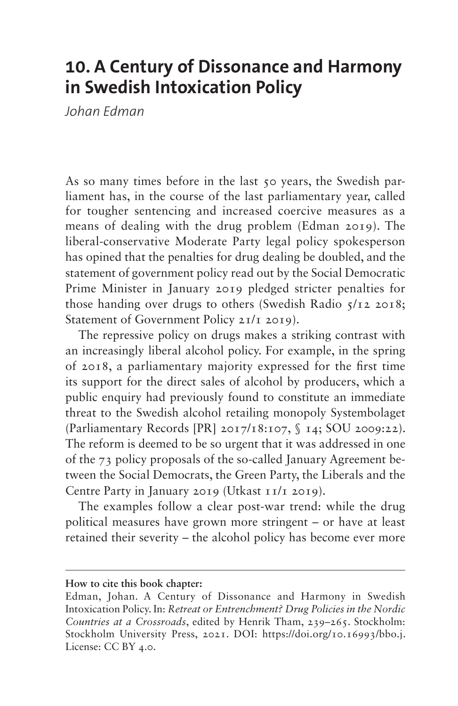# **10. A Century of Dissonance and Harmony in Swedish Intoxication Policy**

*Johan Edman*

As so many times before in the last 50 years, the Swedish parliament has, in the course of the last parliamentary year, called for tougher sentencing and increased coercive measures as a means of dealing with the drug problem (Edman 2019). The liberal-conservative Moderate Party legal policy spokesperson has opined that the penalties for drug dealing be doubled, and the statement of government policy read out by the Social Democratic Prime Minister in January 2019 pledged stricter penalties for those handing over drugs to others (Swedish Radio 5/12 2018; Statement of Government Policy 21/1 2019).

The repressive policy on drugs makes a striking contrast with an increasingly liberal alcohol policy. For example, in the spring of 2018, a parliamentary majority expressed for the first time its support for the direct sales of alcohol by producers, which a public enquiry had previously found to constitute an immediate threat to the Swedish alcohol retailing monopoly Systembolaget [\(Parliamentary Records \[PR\] 2017/18:107, § 14](file:///C:\\Users\\tham\\AppData\\Local\\Microsoft\\Windows\\INetCache\\Content.Outlook\\ADV2A9WI\\Nordic%20drug%20policy_copy-edited_JE.docx); SOU 2009:22). The reform is deemed to be so urgent that it was addressed in one of the 73 policy proposals of the so-called January Agreement between the Social Democrats, the Green Party, the Liberals and the Centre Party in January 2019 (Utkast 11/1 2019).

The examples follow a clear post-war trend: while the drug political measures have grown more stringent – or have at least retained their severity – the alcohol policy has become ever more

**How to cite this book chapter:**

Edman, Johan. A Century of Dissonance and Harmony in Swedish Intoxication Policy. In: *Retreat or Entrenchment? Drug Policies in the Nordic Countries at a Crossroads*, edited by Henrik Tham, 239–265. Stockholm: Stockholm University Press, 2021. DOI: <https://doi.org/10.16993/bbo.j>. License: CC BY 4.0.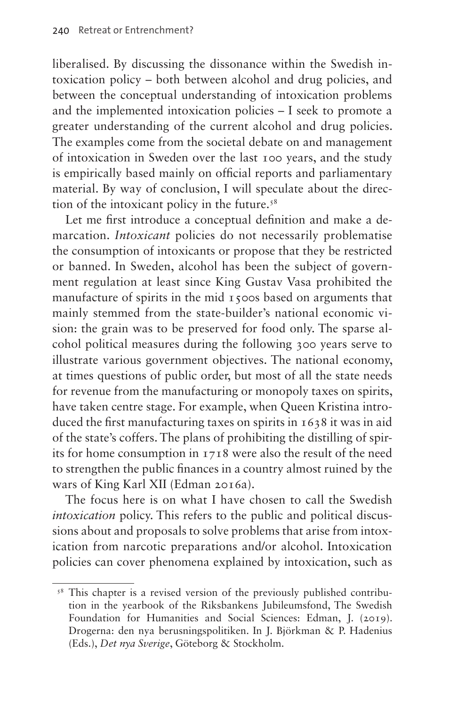liberalised. By discussing the dissonance within the Swedish intoxication policy – both between alcohol and drug policies, and between the conceptual understanding of intoxication problems and the implemented intoxication policies – I seek to promote a greater understanding of the current alcohol and drug policies. The examples come from the societal debate on and management of intoxication in Sweden over the last 100 years, and the study is empirically based mainly on official reports and parliamentary material. By way of conclusion, I will speculate about the direc-tion of the intoxicant policy in the future.<sup>[58](#page-1-0)</sup>

Let me first introduce a conceptual definition and make a demarcation. *Intoxicant* policies do not necessarily problematise the consumption of intoxicants or propose that they be restricted or banned. In Sweden, alcohol has been the subject of government regulation at least since King Gustav Vasa prohibited the manufacture of spirits in the mid 1500s based on arguments that mainly stemmed from the state-builder's national economic vision: the grain was to be preserved for food only. The sparse alcohol political measures during the following 300 years serve to illustrate various government objectives. The national economy, at times questions of public order, but most of all the state needs for revenue from the manufacturing or monopoly taxes on spirits, have taken centre stage. For example, when Queen Kristina introduced the first manufacturing taxes on spirits in 1638 it was in aid of the state's coffers. The plans of prohibiting the distilling of spirits for home consumption in 1718 were also the result of the need to strengthen the public finances in a country almost ruined by the wars of King Karl XII (Edman 2016a).

The focus here is on what I have chosen to call the Swedish *intoxication* policy. This refers to the public and political discussions about and proposals to solve problems that arise from intoxication from narcotic preparations and/or alcohol. Intoxication policies can cover phenomena explained by intoxication, such as

<span id="page-1-0"></span><sup>&</sup>lt;sup>58</sup> This chapter is a revised version of the previously published contribution in the yearbook of the Riksbankens Jubileumsfond, The Swedish Foundation for Humanities and Social Sciences: Edman, J. (2019). Drogerna: den nya berusningspolitiken. In J. Björkman & P. Hadenius (Eds.), *Det nya Sverige*, Göteborg & Stockholm.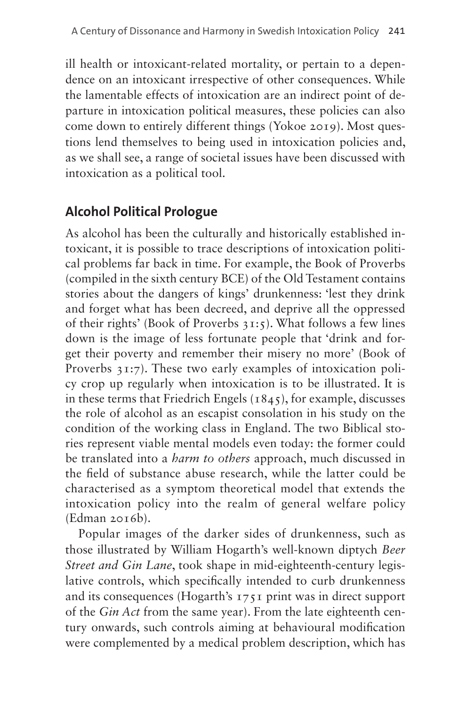ill health or intoxicant-related mortality, or pertain to a dependence on an intoxicant irrespective of other consequences. While the lamentable effects of intoxication are an indirect point of departure in intoxication political measures, these policies can also come down to entirely different things (Yokoe 2019). Most questions lend themselves to being used in intoxication policies and, as we shall see, a range of societal issues have been discussed with intoxication as a political tool.

## **Alcohol Political Prologue**

As alcohol has been the culturally and historically established intoxicant, it is possible to trace descriptions of intoxication political problems far back in time. For example, the Book of Proverbs (compiled in the sixth century BCE) of the Old Testament contains stories about the dangers of kings' drunkenness: 'lest they drink and forget what has been decreed, and deprive all the oppressed of their rights' (Book of Proverbs 31:5). What follows a few lines down is the image of less fortunate people that 'drink and forget their poverty and remember their misery no more' (Book of Proverbs 31:7). These two early examples of intoxication policy crop up regularly when intoxication is to be illustrated. It is in these terms that Friedrich Engels  $(1845)$ , for example, discusses the role of alcohol as an escapist consolation in his study on the condition of the working class in England. The two Biblical stories represent viable mental models even today: the former could be translated into a *harm to others* approach, much discussed in the field of substance abuse research, while the latter could be characterised as a symptom theoretical model that extends the intoxication policy into the realm of general welfare policy (Edman 2016b).

Popular images of the darker sides of drunkenness, such as those illustrated by William Hogarth's well-known diptych *Beer Street and Gin Lane*, took shape in mid-eighteenth-century legislative controls, which specifically intended to curb drunkenness and its consequences (Hogarth's 1751 print was in direct support of the *Gin Act* from the same year). From the late eighteenth century onwards, such controls aiming at behavioural modification were complemented by a medical problem description, which has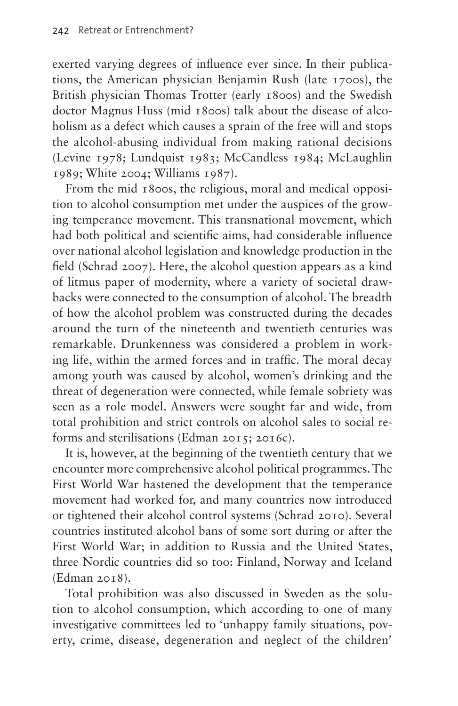exerted varying degrees of influence ever since. In their publications, the American physician Benjamin Rush (late 1700s), the British physician Thomas Trotter (early 1800s) and the Swedish doctor Magnus Huss (mid 1800s) talk about the disease of alcoholism as a defect which causes a sprain of the free will and stops the alcohol-abusing individual from making rational decisions (Levine 1978; Lundquist 1983; McCandless 1984; McLaughlin 1989; White 2004; Williams 1987).

From the mid 1800s, the religious, moral and medical opposition to alcohol consumption met under the auspices of the growing temperance movement. This transnational movement, which had both political and scientific aims, had considerable influence over national alcohol legislation and knowledge production in the field (Schrad 2007). Here, the alcohol question appears as a kind of litmus paper of modernity, where a variety of societal drawbacks were connected to the consumption of alcohol. The breadth of how the alcohol problem was constructed during the decades around the turn of the nineteenth and twentieth centuries was remarkable. Drunkenness was considered a problem in working life, within the armed forces and in traffic. The moral decay among youth was caused by alcohol, women's drinking and the threat of degeneration were connected, while female sobriety was seen as a role model. Answers were sought far and wide, from total prohibition and strict controls on alcohol sales to social reforms and sterilisations (Edman 2015; 2016c).

It is, however, at the beginning of the twentieth century that we encounter more comprehensive alcohol political programmes. The First World War hastened the development that the temperance movement had worked for, and many countries now introduced or tightened their alcohol control systems (Schrad 2010). Several countries instituted alcohol bans of some sort during or after the First World War; in addition to Russia and the United States, three Nordic countries did so too: Finland, Norway and Iceland (Edman 2018).

Total prohibition was also discussed in Sweden as the solution to alcohol consumption, which according to one of many investigative committees led to 'unhappy family situations, poverty, crime, disease, degeneration and neglect of the children'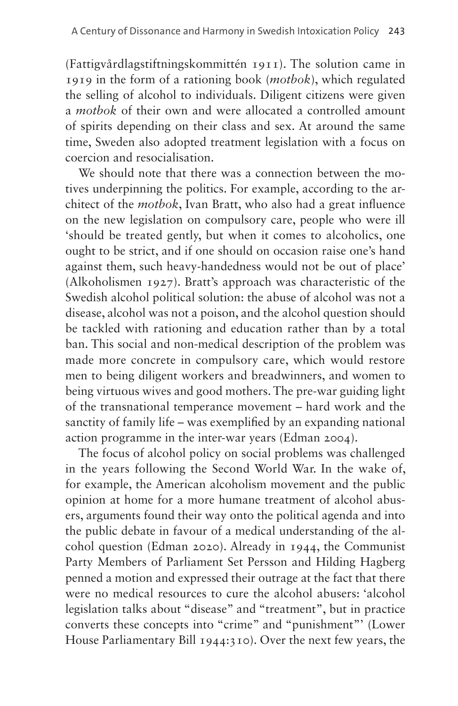(Fattigvårdlagstiftningskommittén 1911). The solution came in 1919 in the form of a rationing book (*motbok*), which regulated the selling of alcohol to individuals. Diligent citizens were given a *motbok* of their own and were allocated a controlled amount of spirits depending on their class and sex. At around the same time, Sweden also adopted treatment legislation with a focus on coercion and resocialisation.

We should note that there was a connection between the motives underpinning the politics. For example, according to the architect of the *motbok*, Ivan Bratt, who also had a great influence on the new legislation on compulsory care, people who were ill 'should be treated gently, but when it comes to alcoholics, one ought to be strict, and if one should on occasion raise one's hand against them, such heavy-handedness would not be out of place' (Alkoholismen 1927). Bratt's approach was characteristic of the Swedish alcohol political solution: the abuse of alcohol was not a disease, alcohol was not a poison, and the alcohol question should be tackled with rationing and education rather than by a total ban. This social and non-medical description of the problem was made more concrete in compulsory care, which would restore men to being diligent workers and breadwinners, and women to being virtuous wives and good mothers. The pre-war guiding light of the transnational temperance movement – hard work and the sanctity of family life – was exemplified by an expanding national action programme in the inter-war years (Edman 2004).

The focus of alcohol policy on social problems was challenged in the years following the Second World War. In the wake of, for example, the American alcoholism movement and the public opinion at home for a more humane treatment of alcohol abusers, arguments found their way onto the political agenda and into the public debate in favour of a medical understanding of the alcohol question (Edman 2020). Already in 1944, the Communist Party Members of Parliament Set Persson and Hilding Hagberg penned a motion and expressed their outrage at the fact that there were no medical resources to cure the alcohol abusers: 'alcohol legislation talks about "disease" and "treatment", but in practice converts these concepts into "crime" and "punishment"' (Lower House Parliamentary Bill 1944:310). Over the next few years, the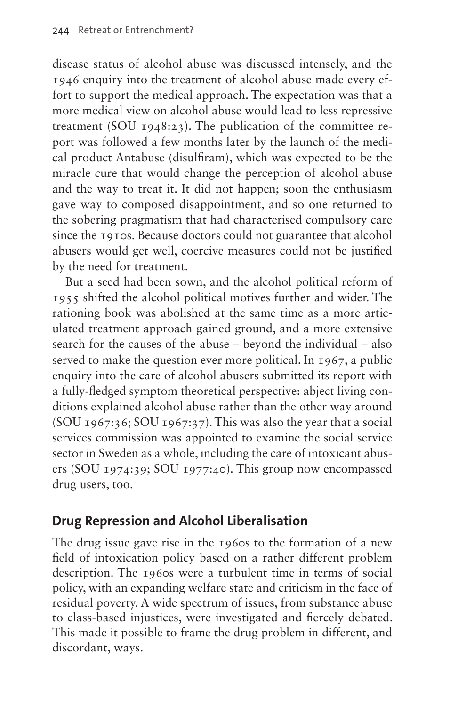disease status of alcohol abuse was discussed intensely, and the 1946 enquiry into the treatment of alcohol abuse made every effort to support the medical approach. The expectation was that a more medical view on alcohol abuse would lead to less repressive treatment (SOU 1948:23). The publication of the committee report was followed a few months later by the launch of the medical product Antabuse (disulfiram), which was expected to be the miracle cure that would change the perception of alcohol abuse and the way to treat it. It did not happen; soon the enthusiasm gave way to composed disappointment, and so one returned to the sobering pragmatism that had characterised compulsory care since the 1910s. Because doctors could not guarantee that alcohol abusers would get well, coercive measures could not be justified by the need for treatment.

But a seed had been sown, and the alcohol political reform of 1955 shifted the alcohol political motives further and wider. The rationing book was abolished at the same time as a more articulated treatment approach gained ground, and a more extensive search for the causes of the abuse – beyond the individual – also served to make the question ever more political. In 1967, a public enquiry into the care of alcohol abusers submitted its report with a fully-fledged symptom theoretical perspective: abject living conditions explained alcohol abuse rather than the other way around (SOU 1967:36; SOU 1967:37). This was also the year that a social services commission was appointed to examine the social service sector in Sweden as a whole, including the care of intoxicant abusers (SOU 1974:39; SOU 1977:40). This group now encompassed drug users, too.

#### **Drug Repression and Alcohol Liberalisation**

The drug issue gave rise in the 1960s to the formation of a new field of intoxication policy based on a rather different problem description. The 1960s were a turbulent time in terms of social policy, with an expanding welfare state and criticism in the face of residual poverty. A wide spectrum of issues, from substance abuse to class-based injustices, were investigated and fiercely debated. This made it possible to frame the drug problem in different, and discordant, ways.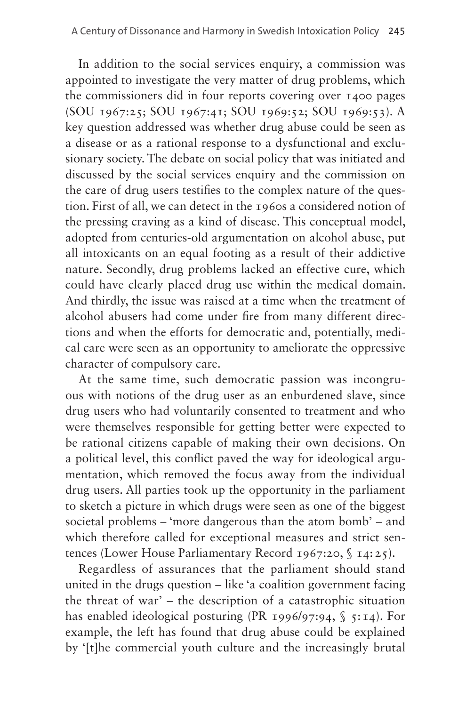In addition to the social services enquiry, a commission was appointed to investigate the very matter of drug problems, which the commissioners did in four reports covering over 1400 pages (SOU 1967:25; SOU 1967:41; SOU 1969:52; SOU 1969:53). A key question addressed was whether drug abuse could be seen as a disease or as a rational response to a dysfunctional and exclusionary society. The debate on social policy that was initiated and discussed by the social services enquiry and the commission on the care of drug users testifies to the complex nature of the question. First of all, we can detect in the 1960s a considered notion of the pressing craving as a kind of disease. This conceptual model, adopted from centuries-old argumentation on alcohol abuse, put all intoxicants on an equal footing as a result of their addictive nature. Secondly, drug problems lacked an effective cure, which could have clearly placed drug use within the medical domain. And thirdly, the issue was raised at a time when the treatment of alcohol abusers had come under fire from many different directions and when the efforts for democratic and, potentially, medical care were seen as an opportunity to ameliorate the oppressive character of compulsory care.

At the same time, such democratic passion was incongruous with notions of the drug user as an enburdened slave, since drug users who had voluntarily consented to treatment and who were themselves responsible for getting better were expected to be rational citizens capable of making their own decisions. On a political level, this conflict paved the way for ideological argumentation, which removed the focus away from the individual drug users. All parties took up the opportunity in the parliament to sketch a picture in which drugs were seen as one of the biggest societal problems – 'more dangerous than the atom bomb' – and which therefore called for exceptional measures and strict sentences (Lower House Parliamentary Record 1967:20, § 14:25).

Regardless of assurances that the parliament should stand united in the drugs question – like 'a coalition government facing the threat of war' – the description of a catastrophic situation has enabled ideological posturing (PR 1996/97:94,  $\S$  5:14). For example, the left has found that drug abuse could be explained by '[t]he commercial youth culture and the increasingly brutal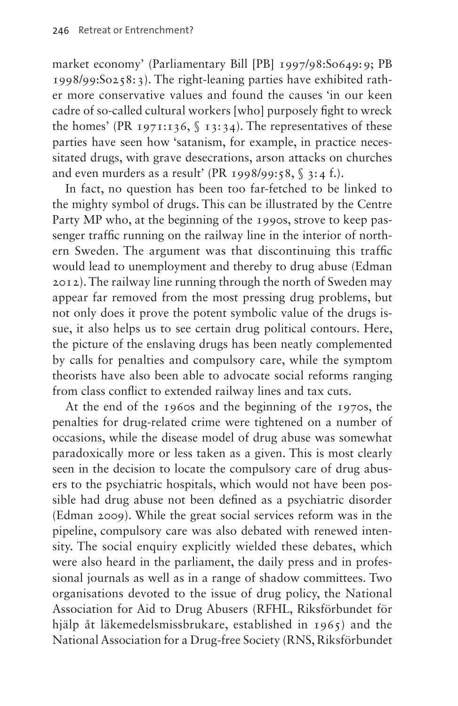market economy' [\(Parliamentary Bill \[PB\] 1997/98:So649:9](file:///C:\\Users\\tham\\AppData\\Local\\Microsoft\\Windows\\INetCache\\Content.Outlook\\ADV2A9WI\\Nordic%20drug%20policy_copy-edited_JE.docx); PB 1998/99:So258:3). The right-leaning parties have exhibited rather more conservative values and found the causes 'in our keen cadre of so-called cultural workers [who] purposely fight to wreck the homes' (PR 1971:136,  $\int$  13:34). The representatives of these parties have seen how 'satanism, for example, in practice necessitated drugs, with grave desecrations, arson attacks on churches and even murders as a result' (PR 1998/99:58,  $\$ 3:4 f.).

In fact, no question has been too far-fetched to be linked to the mighty symbol of drugs. This can be illustrated by the Centre Party MP who, at the beginning of the 1990s, strove to keep passenger traffic running on the railway line in the interior of northern Sweden. The argument was that discontinuing this traffic would lead to unemployment and thereby to drug abuse (Edman 2012). The railway line running through the north of Sweden may appear far removed from the most pressing drug problems, but not only does it prove the potent symbolic value of the drugs issue, it also helps us to see certain drug political contours. Here, the picture of the enslaving drugs has been neatly complemented by calls for penalties and compulsory care, while the symptom theorists have also been able to advocate social reforms ranging from class conflict to extended railway lines and tax cuts.

At the end of the 1960s and the beginning of the 1970s, the penalties for drug-related crime were tightened on a number of occasions, while the disease model of drug abuse was somewhat paradoxically more or less taken as a given. This is most clearly seen in the decision to locate the compulsory care of drug abusers to the psychiatric hospitals, which would not have been possible had drug abuse not been defined as a psychiatric disorder (Edman 2009). While the great social services reform was in the pipeline, compulsory care was also debated with renewed intensity. The social enquiry explicitly wielded these debates, which were also heard in the parliament, the daily press and in professional journals as well as in a range of shadow committees. Two organisations devoted to the issue of drug policy, the National Association for Aid to Drug Abusers (RFHL, Riksförbundet för hjälp åt läkemedelsmissbrukare, established in 1965) and the National Association for a Drug-free Society (RNS, Riksförbundet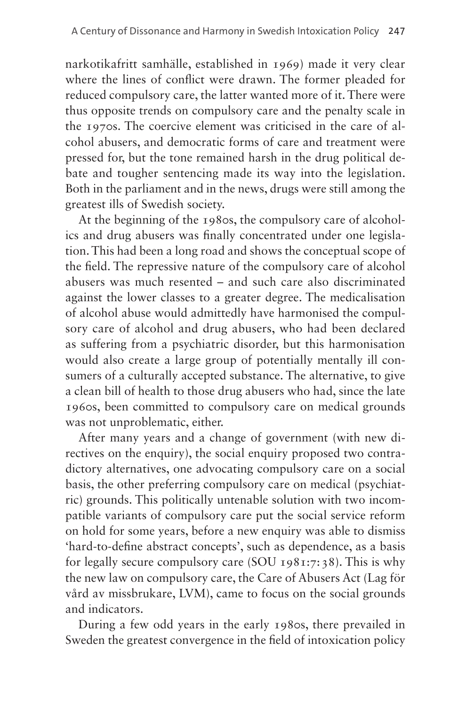narkotikafritt samhälle, established in 1969) made it very clear where the lines of conflict were drawn. The former pleaded for reduced compulsory care, the latter wanted more of it. There were thus opposite trends on compulsory care and the penalty scale in the 1970s. The coercive element was criticised in the care of alcohol abusers, and democratic forms of care and treatment were pressed for, but the tone remained harsh in the drug political debate and tougher sentencing made its way into the legislation. Both in the parliament and in the news, drugs were still among the greatest ills of Swedish society.

At the beginning of the 1980s, the compulsory care of alcoholics and drug abusers was finally concentrated under one legislation. This had been a long road and shows the conceptual scope of the field. The repressive nature of the compulsory care of alcohol abusers was much resented – and such care also discriminated against the lower classes to a greater degree. The medicalisation of alcohol abuse would admittedly have harmonised the compulsory care of alcohol and drug abusers, who had been declared as suffering from a psychiatric disorder, but this harmonisation would also create a large group of potentially mentally ill consumers of a culturally accepted substance. The alternative, to give a clean bill of health to those drug abusers who had, since the late 1960s, been committed to compulsory care on medical grounds was not unproblematic, either.

After many years and a change of government (with new directives on the enquiry), the social enquiry proposed two contradictory alternatives, one advocating compulsory care on a social basis, the other preferring compulsory care on medical (psychiatric) grounds. This politically untenable solution with two incompatible variants of compulsory care put the social service reform on hold for some years, before a new enquiry was able to dismiss 'hard-to-define abstract concepts', such as dependence, as a basis for legally secure compulsory care (SOU 1981:7:38). This is why the new law on compulsory care, the Care of Abusers Act (Lag för vård av missbrukare, LVM), came to focus on the social grounds and indicators.

During a few odd years in the early 1980s, there prevailed in Sweden the greatest convergence in the field of intoxication policy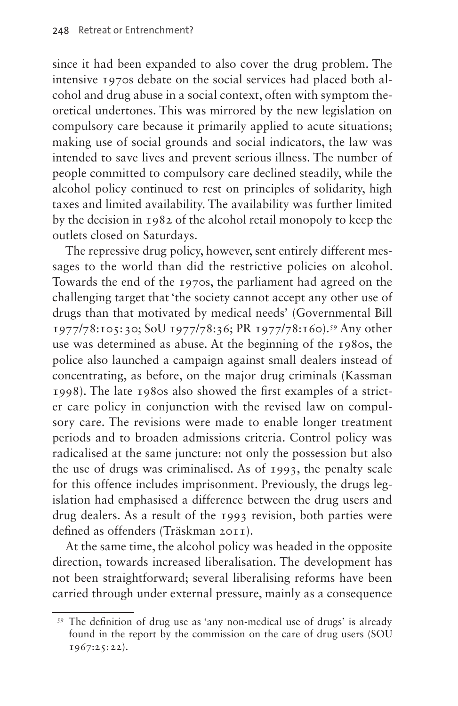since it had been expanded to also cover the drug problem. The intensive 1970s debate on the social services had placed both alcohol and drug abuse in a social context, often with symptom theoretical undertones. This was mirrored by the new legislation on compulsory care because it primarily applied to acute situations; making use of social grounds and social indicators, the law was intended to save lives and prevent serious illness. The number of people committed to compulsory care declined steadily, while the alcohol policy continued to rest on principles of solidarity, high taxes and limited availability. The availability was further limited by the decision in 1982 of the alcohol retail monopoly to keep the outlets closed on Saturdays.

The repressive drug policy, however, sent entirely different messages to the world than did the restrictive policies on alcohol. Towards the end of the 1970s, the parliament had agreed on the challenging target that 'the society cannot accept any other use of drugs than that motivated by medical needs' (Governmental Bill 1977/78:105:30; SoU 1977/78:36; PR 1977/78:160).[59](#page-9-0) Any other use was determined as abuse. At the beginning of the 1980s, the police also launched a campaign against small dealers instead of concentrating, as before, on the major drug criminals (Kassman 1998). The late 1980s also showed the first examples of a stricter care policy in conjunction with the revised law on compulsory care. The revisions were made to enable longer treatment periods and to broaden admissions criteria. Control policy was radicalised at the same juncture: not only the possession but also the use of drugs was criminalised. As of 1993, the penalty scale for this offence includes imprisonment. Previously, the drugs legislation had emphasised a difference between the drug users and drug dealers. As a result of the 1993 revision, both parties were defined as offenders (Träskman 2011).

At the same time, the alcohol policy was headed in the opposite direction, towards increased liberalisation. The development has not been straightforward; several liberalising reforms have been carried through under external pressure, mainly as a consequence

<span id="page-9-0"></span><sup>59</sup> The definition of drug use as 'any non-medical use of drugs' is already found in the report by the commission on the care of drug users (SOU 1967:25:22).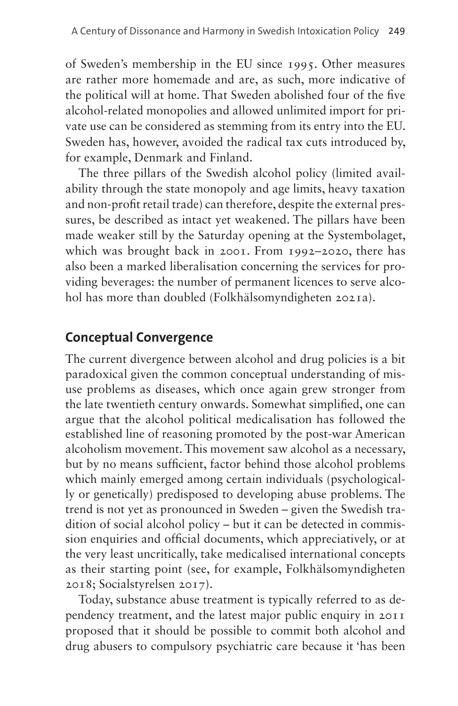of Sweden's membership in the EU since 1995. Other measures are rather more homemade and are, as such, more indicative of the political will at home. That Sweden abolished four of the five alcohol-related monopolies and allowed unlimited import for private use can be considered as stemming from its entry into the EU. Sweden has, however, avoided the radical tax cuts introduced by, for example, Denmark and Finland.

The three pillars of the Swedish alcohol policy (limited availability through the state monopoly and age limits, heavy taxation and non-profit retail trade) can therefore, despite the external pressures, be described as intact yet weakened. The pillars have been made weaker still by the Saturday opening at the Systembolaget, which was brought back in 2001. From 1992–2020, there has also been a marked liberalisation concerning the services for providing beverages: the number of permanent licences to serve alcohol has more than doubled (Folkhälsomyndigheten 2021a).

#### **Conceptual Convergence**

The current divergence between alcohol and drug policies is a bit paradoxical given the common conceptual understanding of misuse problems as diseases, which once again grew stronger from the late twentieth century onwards. Somewhat simplified, one can argue that the alcohol political medicalisation has followed the established line of reasoning promoted by the post-war American alcoholism movement. This movement saw alcohol as a necessary, but by no means sufficient, factor behind those alcohol problems which mainly emerged among certain individuals (psychologically or genetically) predisposed to developing abuse problems. The trend is not yet as pronounced in Sweden – given the Swedish tradition of social alcohol policy – but it can be detected in commission enquiries and official documents, which appreciatively, or at the very least uncritically, take medicalised international concepts as their starting point (see, for example, Folkhälsomyndigheten 2018; Socialstyrelsen 2017).

Today, substance abuse treatment is typically referred to as dependency treatment, and the latest major public enquiry in 2011 proposed that it should be possible to commit both alcohol and drug abusers to compulsory psychiatric care because it 'has been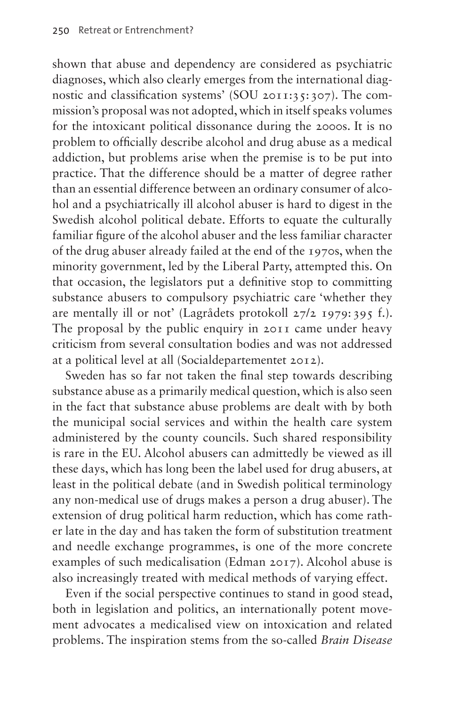shown that abuse and dependency are considered as psychiatric diagnoses, which also clearly emerges from the international diagnostic and classification systems' (SOU 2011:35:307). The commission's proposal was not adopted, which in itself speaks volumes for the intoxicant political dissonance during the 2000s. It is no problem to officially describe alcohol and drug abuse as a medical addiction, but problems arise when the premise is to be put into practice. That the difference should be a matter of degree rather than an essential difference between an ordinary consumer of alcohol and a psychiatrically ill alcohol abuser is hard to digest in the Swedish alcohol political debate. Efforts to equate the culturally familiar figure of the alcohol abuser and the less familiar character of the drug abuser already failed at the end of the 1970s, when the minority government, led by the Liberal Party, attempted this. On that occasion, the legislators put a definitive stop to committing substance abusers to compulsory psychiatric care 'whether they are mentally ill or not' (Lagrådets protokoll 27/2 1979: 395 f.). The proposal by the public enquiry in 2011 came under heavy criticism from several consultation bodies and was not addressed at a political level at all (Socialdepartementet 2012).

Sweden has so far not taken the final step towards describing substance abuse as a primarily medical question, which is also seen in the fact that substance abuse problems are dealt with by both the municipal social services and within the health care system administered by the county councils. Such shared responsibility is rare in the EU. Alcohol abusers can admittedly be viewed as ill these days, which has long been the label used for drug abusers, at least in the political debate (and in Swedish political terminology any non-medical use of drugs makes a person a drug abuser). The extension of drug political harm reduction, which has come rather late in the day and has taken the form of substitution treatment and needle exchange programmes, is one of the more concrete examples of such medicalisation (Edman 2017). Alcohol abuse is also increasingly treated with medical methods of varying effect.

Even if the social perspective continues to stand in good stead, both in legislation and politics, an internationally potent movement advocates a medicalised view on intoxication and related problems. The inspiration stems from the so-called *Brain Disease*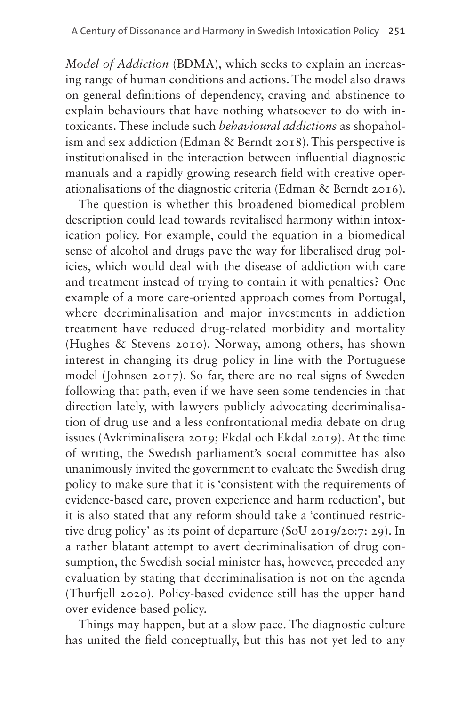*Model of Addiction* (BDMA), which seeks to explain an increasing range of human conditions and actions. The model also draws on general definitions of dependency, craving and abstinence to explain behaviours that have nothing whatsoever to do with intoxicants. These include such *behavioural addictions* as shopaholism and sex addiction (Edman & Berndt 2018). This perspective is institutionalised in the interaction between influential diagnostic manuals and a rapidly growing research field with creative operationalisations of the diagnostic criteria (Edman & Berndt 2016).

The question is whether this broadened biomedical problem description could lead towards revitalised harmony within intoxication policy. For example, could the equation in a biomedical sense of alcohol and drugs pave the way for liberalised drug policies, which would deal with the disease of addiction with care and treatment instead of trying to contain it with penalties? One example of a more care-oriented approach comes from Portugal, where decriminalisation and major investments in addiction treatment have reduced drug-related morbidity and mortality (Hughes & Stevens 2010). Norway, among others, has shown interest in changing its drug policy in line with the Portuguese model (Johnsen 2017). So far, there are no real signs of Sweden following that path, even if we have seen some tendencies in that direction lately, with lawyers publicly advocating decriminalisation of drug use and a less confrontational media debate on drug issues (Avkriminalisera 2019; Ekdal och Ekdal 2019). At the time of writing, the Swedish parliament's social committee has also unanimously invited the government to evaluate the Swedish drug policy to make sure that it is 'consistent with the requirements of evidence-based care, proven experience and harm reduction', but it is also stated that any reform should take a 'continued restrictive drug policy' as its point of departure (SoU 2019/20:7: 29). In a rather blatant attempt to avert decriminalisation of drug consumption, the Swedish social minister has, however, preceded any evaluation by stating that decriminalisation is not on the agenda (Thurfjell 2020). Policy-based evidence still has the upper hand over evidence-based policy.

Things may happen, but at a slow pace. The diagnostic culture has united the field conceptually, but this has not yet led to any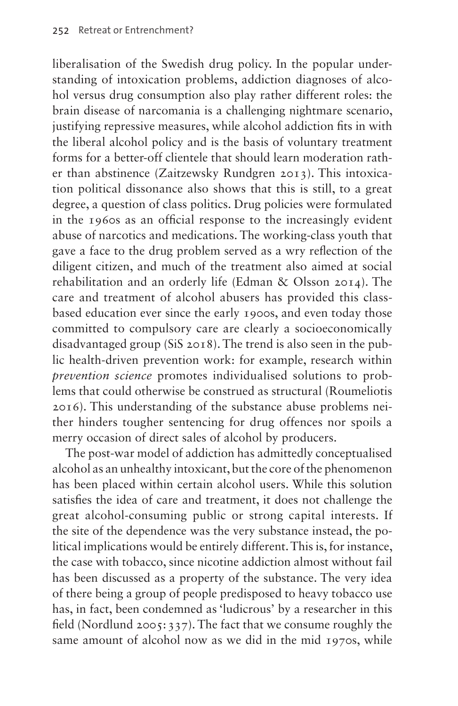liberalisation of the Swedish drug policy. In the popular understanding of intoxication problems, addiction diagnoses of alcohol versus drug consumption also play rather different roles: the brain disease of narcomania is a challenging nightmare scenario, justifying repressive measures, while alcohol addiction fits in with the liberal alcohol policy and is the basis of voluntary treatment forms for a better-off clientele that should learn moderation rather than abstinence (Zaitzewsky Rundgren 2013). This intoxication political dissonance also shows that this is still, to a great degree, a question of class politics. Drug policies were formulated in the 1960s as an official response to the increasingly evident abuse of narcotics and medications. The working-class youth that gave a face to the drug problem served as a wry reflection of the diligent citizen, and much of the treatment also aimed at social rehabilitation and an orderly life (Edman & Olsson 2014). The care and treatment of alcohol abusers has provided this classbased education ever since the early 1900s, and even today those committed to compulsory care are clearly a socioeconomically disadvantaged group (SiS 2018). The trend is also seen in the public health-driven prevention work: for example, research within *prevention science* promotes individualised solutions to problems that could otherwise be construed as structural (Roumeliotis 2016). This understanding of the substance abuse problems neither hinders tougher sentencing for drug offences nor spoils a merry occasion of direct sales of alcohol by producers.

The post-war model of addiction has admittedly conceptualised alcohol as an unhealthy intoxicant, but the core of the phenomenon has been placed within certain alcohol users. While this solution satisfies the idea of care and treatment, it does not challenge the great alcohol-consuming public or strong capital interests. If the site of the dependence was the very substance instead, the political implications would be entirely different. This is, for instance, the case with tobacco, since nicotine addiction almost without fail has been discussed as a property of the substance. The very idea of there being a group of people predisposed to heavy tobacco use has, in fact, been condemned as 'ludicrous' by a researcher in this field (Nordlund 2005:337). The fact that we consume roughly the same amount of alcohol now as we did in the mid 1970s, while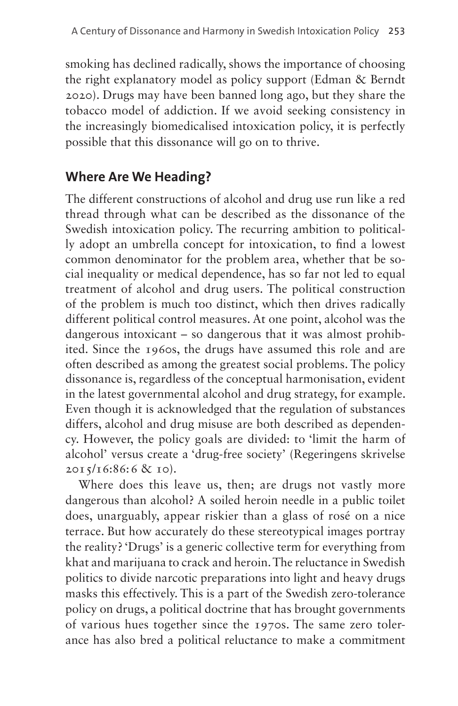smoking has declined radically, shows the importance of choosing the right explanatory model as policy support (Edman & Berndt 2020). Drugs may have been banned long ago, but they share the tobacco model of addiction. If we avoid seeking consistency in the increasingly biomedicalised intoxication policy, it is perfectly possible that this dissonance will go on to thrive.

## **Where Are We Heading?**

The different constructions of alcohol and drug use run like a red thread through what can be described as the dissonance of the Swedish intoxication policy. The recurring ambition to politically adopt an umbrella concept for intoxication, to find a lowest common denominator for the problem area, whether that be social inequality or medical dependence, has so far not led to equal treatment of alcohol and drug users. The political construction of the problem is much too distinct, which then drives radically different political control measures. At one point, alcohol was the dangerous intoxicant – so dangerous that it was almost prohibited. Since the 1960s, the drugs have assumed this role and are often described as among the greatest social problems. The policy dissonance is, regardless of the conceptual harmonisation, evident in the latest governmental alcohol and drug strategy, for example. Even though it is acknowledged that the regulation of substances differs, alcohol and drug misuse are both described as dependency. However, the policy goals are divided: to 'limit the harm of alcohol' versus create a 'drug-free society' (Regeringens skrivelse  $2015/16:86:6 \& 10$ ).

Where does this leave us, then; are drugs not vastly more dangerous than alcohol? A soiled heroin needle in a public toilet does, unarguably, appear riskier than a glass of rosé on a nice terrace. But how accurately do these stereotypical images portray the reality? 'Drugs' is a generic collective term for everything from khat and marijuana to crack and heroin. The reluctance in Swedish politics to divide narcotic preparations into light and heavy drugs masks this effectively. This is a part of the Swedish zero-tolerance policy on drugs, a political doctrine that has brought governments of various hues together since the 1970s. The same zero tolerance has also bred a political reluctance to make a commitment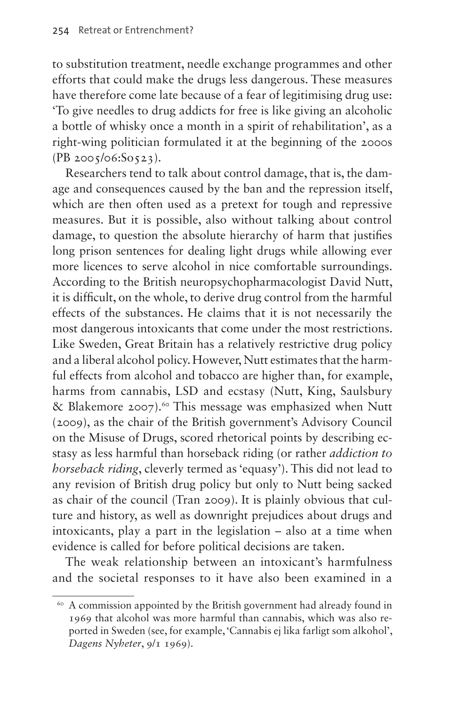to substitution treatment, needle exchange programmes and other efforts that could make the drugs less dangerous. These measures have therefore come late because of a fear of legitimising drug use: 'To give needles to drug addicts for free is like giving an alcoholic a bottle of whisky once a month in a spirit of rehabilitation', as a right-wing politician formulated it at the beginning of the 2000s (PB 2005/06:So523).

Researchers tend to talk about control damage, that is, the damage and consequences caused by the ban and the repression itself, which are then often used as a pretext for tough and repressive measures. But it is possible, also without talking about control damage, to question the absolute hierarchy of harm that justifies long prison sentences for dealing light drugs while allowing ever more licences to serve alcohol in nice comfortable surroundings. According to the British neuropsychopharmacologist David Nutt, it is difficult, on the whole, to derive drug control from the harmful effects of the substances. He claims that it is not necessarily the most dangerous intoxicants that come under the most restrictions. Like Sweden, Great Britain has a relatively restrictive drug policy and a liberal alcohol policy. However, Nutt estimates that the harmful effects from alcohol and tobacco are higher than, for example, harms from cannabis, LSD and ecstasy (Nutt, King, Saulsbury & Blakemore 2007).<sup>60</sup> This message was emphasized when Nutt (2009), as the chair of the British government's Advisory Council on the Misuse of Drugs, scored rhetorical points by describing ecstasy as less harmful than horseback riding (or rather *addiction to horseback riding*, cleverly termed as 'equasy'). This did not lead to any revision of British drug policy but only to Nutt being sacked as chair of the council (Tran 2009). It is plainly obvious that culture and history, as well as downright prejudices about drugs and intoxicants, play a part in the legislation – also at a time when evidence is called for before political decisions are taken.

The weak relationship between an intoxicant's harmfulness and the societal responses to it have also been examined in a

<span id="page-15-0"></span><sup>60</sup> A commission appointed by the British government had already found in 1969 that alcohol was more harmful than cannabis, which was also reported in Sweden (see, for example, 'Cannabis ej lika farligt som alkohol', *Dagens Nyheter*, 9/1 1969).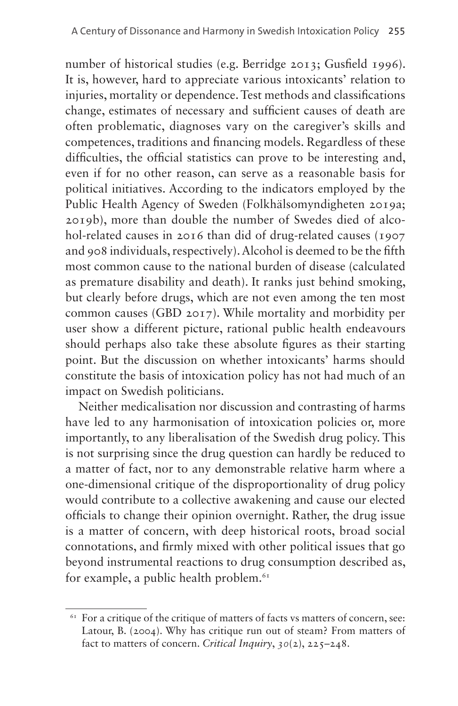number of historical studies (e.g. Berridge 2013; Gusfield 1996). It is, however, hard to appreciate various intoxicants' relation to injuries, mortality or dependence. Test methods and classifications change, estimates of necessary and sufficient causes of death are often problematic, diagnoses vary on the caregiver's skills and competences, traditions and financing models. Regardless of these difficulties, the official statistics can prove to be interesting and, even if for no other reason, can serve as a reasonable basis for political initiatives. According to the indicators employed by the Public Health Agency of Sweden (Folkhälsomyndigheten 2019a; 2019b), more than double the number of Swedes died of alcohol-related causes in 2016 than did of drug-related causes (1907) and 908 individuals, respectively). Alcohol is deemed to be the fifth most common cause to the national burden of disease (calculated as premature disability and death). It ranks just behind smoking, but clearly before drugs, which are not even among the ten most common causes (GBD 2017). While mortality and morbidity per user show a different picture, rational public health endeavours should perhaps also take these absolute figures as their starting point. But the discussion on whether intoxicants' harms should constitute the basis of intoxication policy has not had much of an impact on Swedish politicians.

Neither medicalisation nor discussion and contrasting of harms have led to any harmonisation of intoxication policies or, more importantly, to any liberalisation of the Swedish drug policy. This is not surprising since the drug question can hardly be reduced to a matter of fact, nor to any demonstrable relative harm where a one-dimensional critique of the disproportionality of drug policy would contribute to a collective awakening and cause our elected officials to change their opinion overnight. Rather, the drug issue is a matter of concern, with deep historical roots, broad social connotations, and firmly mixed with other political issues that go beyond instrumental reactions to drug consumption described as, for example, a public health problem. $61$ 

<span id="page-16-0"></span> $61$  For a critique of the critique of matters of facts vs matters of concern, see: Latour, B. (2004). Why has critique run out of steam? From matters of fact to matters of concern. *Critical Inquiry*, *30*(2), 225–248.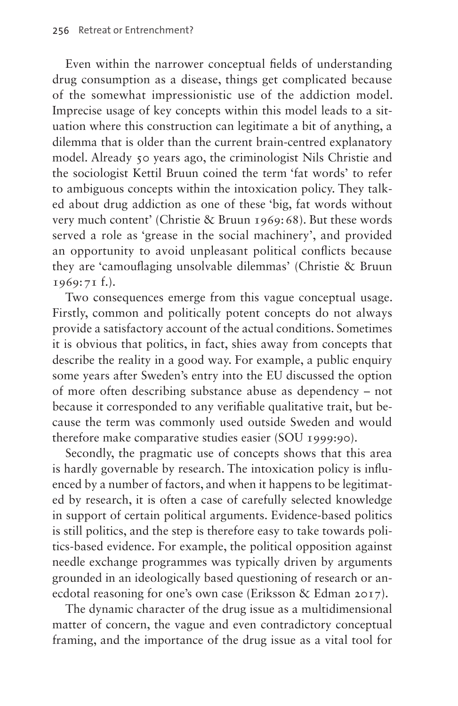Even within the narrower conceptual fields of understanding drug consumption as a disease, things get complicated because of the somewhat impressionistic use of the addiction model. Imprecise usage of key concepts within this model leads to a situation where this construction can legitimate a bit of anything, a dilemma that is older than the current brain-centred explanatory model. Already 50 years ago, the criminologist Nils Christie and the sociologist Kettil Bruun coined the term 'fat words' to refer to ambiguous concepts within the intoxication policy. They talked about drug addiction as one of these 'big, fat words without very much content' (Christie & Bruun 1969:68). But these words served a role as 'grease in the social machinery', and provided an opportunity to avoid unpleasant political conflicts because they are 'camouflaging unsolvable dilemmas' (Christie & Bruun 1969:71 f.).

Two consequences emerge from this vague conceptual usage. Firstly, common and politically potent concepts do not always provide a satisfactory account of the actual conditions. Sometimes it is obvious that politics, in fact, shies away from concepts that describe the reality in a good way. For example, a public enquiry some years after Sweden's entry into the EU discussed the option of more often describing substance abuse as dependency – not because it corresponded to any verifiable qualitative trait, but because the term was commonly used outside Sweden and would therefore make comparative studies easier (SOU 1999:90).

Secondly, the pragmatic use of concepts shows that this area is hardly governable by research. The intoxication policy is influenced by a number of factors, and when it happens to be legitimated by research, it is often a case of carefully selected knowledge in support of certain political arguments. Evidence-based politics is still politics, and the step is therefore easy to take towards politics-based evidence. For example, the political opposition against needle exchange programmes was typically driven by arguments grounded in an ideologically based questioning of research or anecdotal reasoning for one's own case (Eriksson & Edman 2017).

The dynamic character of the drug issue as a multidimensional matter of concern, the vague and even contradictory conceptual framing, and the importance of the drug issue as a vital tool for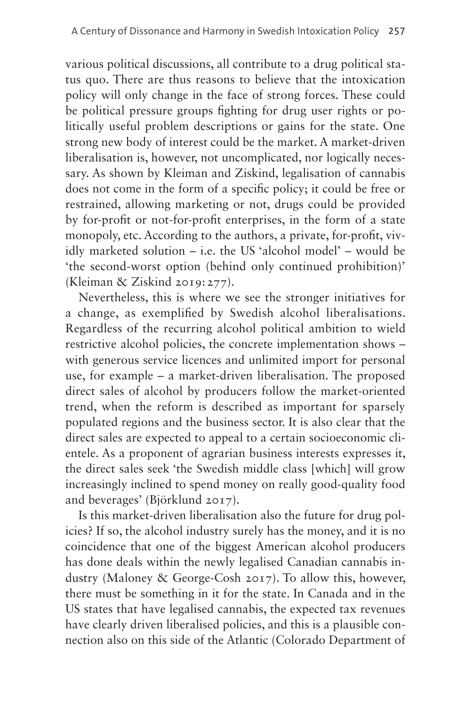various political discussions, all contribute to a drug political status quo. There are thus reasons to believe that the intoxication policy will only change in the face of strong forces. These could be political pressure groups fighting for drug user rights or politically useful problem descriptions or gains for the state. One strong new body of interest could be the market. A market-driven liberalisation is, however, not uncomplicated, nor logically necessary. As shown by Kleiman and Ziskind, legalisation of cannabis does not come in the form of a specific policy; it could be free or restrained, allowing marketing or not, drugs could be provided by for-profit or not-for-profit enterprises, in the form of a state monopoly, etc. According to the authors, a private, for-profit, vividly marketed solution – i.e. the US 'alcohol model' – would be 'the second-worst option (behind only continued prohibition)' (Kleiman & Ziskind 2019:277).

Nevertheless, this is where we see the stronger initiatives for a change, as exemplified by Swedish alcohol liberalisations. Regardless of the recurring alcohol political ambition to wield restrictive alcohol policies, the concrete implementation shows – with generous service licences and unlimited import for personal use, for example – a market-driven liberalisation. The proposed direct sales of alcohol by producers follow the market-oriented trend, when the reform is described as important for sparsely populated regions and the business sector. It is also clear that the direct sales are expected to appeal to a certain socioeconomic clientele. As a proponent of agrarian business interests expresses it, the direct sales seek 'the Swedish middle class [which] will grow increasingly inclined to spend money on really good-quality food and beverages' (Björklund 2017).

Is this market-driven liberalisation also the future for drug policies? If so, the alcohol industry surely has the money, and it is no coincidence that one of the biggest American alcohol producers has done deals within the newly legalised Canadian cannabis industry (Maloney & George-Cosh 2017). To allow this, however, there must be something in it for the state. In Canada and in the US states that have legalised cannabis, the expected tax revenues have clearly driven liberalised policies, and this is a plausible connection also on this side of the Atlantic (Colorado Department of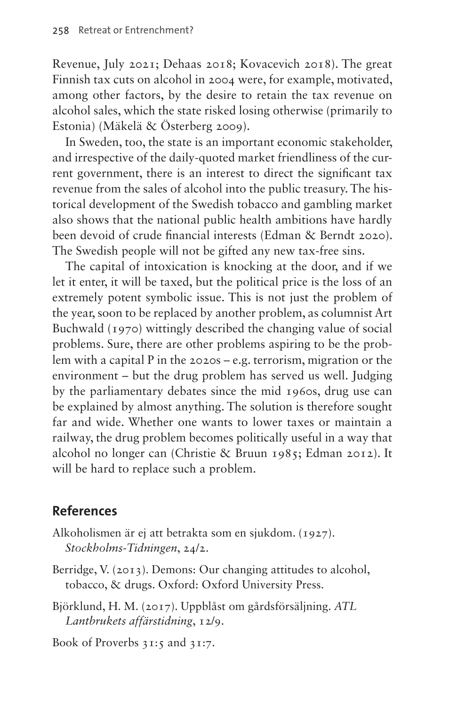Revenue, July 2021; Dehaas 2018; Kovacevich 2018). The great Finnish tax cuts on alcohol in 2004 were, for example, motivated, among other factors, by the desire to retain the tax revenue on alcohol sales, which the state risked losing otherwise (primarily to Estonia) (Mäkelä & Österberg 2009).

In Sweden, too, the state is an important economic stakeholder, and irrespective of the daily-quoted market friendliness of the current government, there is an interest to direct the significant tax revenue from the sales of alcohol into the public treasury. The historical development of the Swedish tobacco and gambling market also shows that the national public health ambitions have hardly been devoid of crude financial interests (Edman & Berndt 2020). The Swedish people will not be gifted any new tax-free sins.

The capital of intoxication is knocking at the door, and if we let it enter, it will be taxed, but the political price is the loss of an extremely potent symbolic issue. This is not just the problem of the year, soon to be replaced by another problem, as columnist Art Buchwald (1970) wittingly described the changing value of social problems. Sure, there are other problems aspiring to be the problem with a capital P in the 2020s – e.g. terrorism, migration or the environment – but the drug problem has served us well. Judging by the parliamentary debates since the mid 1960s, drug use can be explained by almost anything. The solution is therefore sought far and wide. Whether one wants to lower taxes or maintain a railway, the drug problem becomes politically useful in a way that alcohol no longer can (Christie & Bruun 1985; Edman 2012). It will be hard to replace such a problem.

### **References**

- Alkoholismen är ej att betrakta som en sjukdom. (1927). *Stockholms-Tidningen*, 24/2.
- Berridge, V. (2013). Demons: Our changing attitudes to alcohol, tobacco, & drugs. Oxford: Oxford University Press.
- Björklund, H. M. (2017). Uppblåst om gårdsförsäljning. *ATL Lantbrukets affärstidning*, 12/9.

Book of Proverbs 31:5 and 31:7.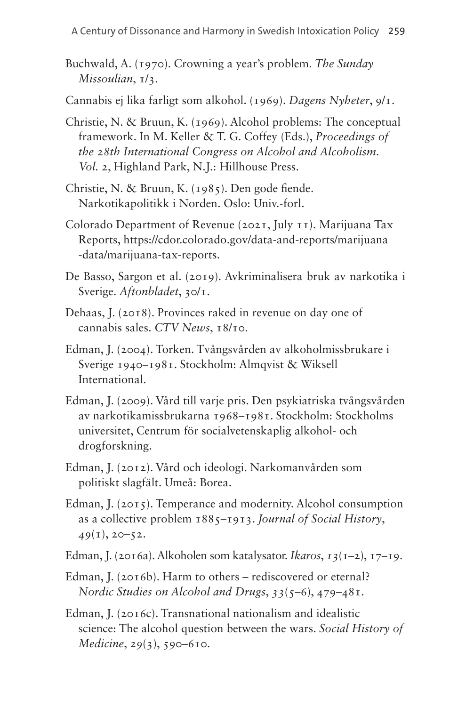- Buchwald, A. (1970). Crowning a year's problem. *The Sunday Missoulian*, 1/3.
- Cannabis ej lika farligt som alkohol. (1969). *Dagens Nyheter*, 9/1.
- Christie, N. & Bruun, K. (1969). Alcohol problems: The conceptual framework. In M. Keller & T. G. Coffey (Eds.), *Proceedings of the 28th International Congress on Alcohol and Alcoholism. Vol. 2*, Highland Park, N.J.: Hillhouse Press.
- Christie, N. & Bruun, K. (1985). Den gode fiende. Narkotikapolitikk i Norden. Oslo: Univ.-forl.
- Colorado Department of Revenue (2021, July 11). Marijuana Tax Reports, [https://cdor.colorado.gov/data-and-reports/marijuana](https://cdor.colorado.gov/data-and-reports/marijuana-data/marijuana-tax-reports) [-data/marijuana-tax-reports](https://cdor.colorado.gov/data-and-reports/marijuana-data/marijuana-tax-reports).
- De Basso, Sargon et al. (2019). Avkriminalisera bruk av narkotika i Sverige. *Aftonbladet*, 30/1.
- Dehaas, J. (2018). Provinces raked in revenue on day one of cannabis sales. *CTV News*, 18/10.
- Edman, J. (2004). Torken. Tvångsvården av alkoholmissbrukare i Sverige 1940–1981. Stockholm: Almqvist & Wiksell International.
- Edman, J. (2009). Vård till varje pris. Den psykiatriska tvångsvården av narkotikamissbrukarna 1968–1981. Stockholm: Stockholms universitet, Centrum för socialvetenskaplig alkohol- och drogforskning.
- Edman, J. (2012). Vård och ideologi. Narkomanvården som politiskt slagfält. Umeå: Borea.
- Edman, J. (2015). Temperance and modernity. Alcohol consumption as a collective problem 1885–1913. *Journal of Social History*, *49*(1), 20–52.
- Edman, J. (2016a). Alkoholen som katalysator. *Ikaros*, *13*(1–2), 17–19.
- Edman, J. (2016b). Harm to others rediscovered or eternal? *Nordic Studies on Alcohol and Drugs*, *33*(5–6), 479–481.
- Edman, J. (2016c). Transnational nationalism and idealistic science: The alcohol question between the wars. *Social History of Medicine*, *29*(3), 590–610.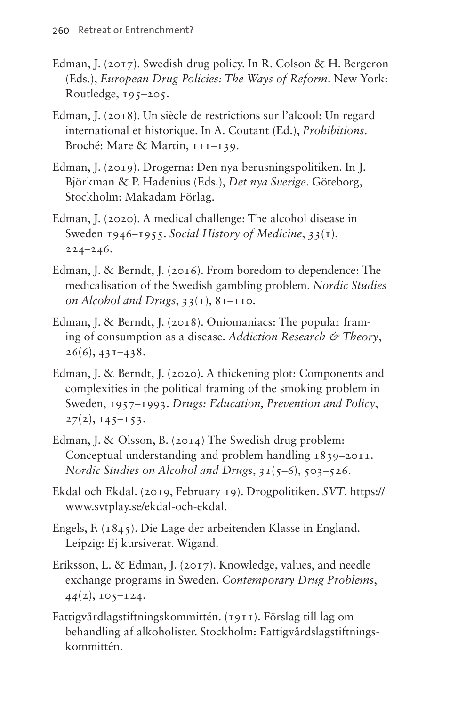- Edman, J. (2017). Swedish drug policy. In R. Colson & H. Bergeron (Eds.), *European Drug Policies: The Ways of Reform*. New York: Routledge,  $195-205$ .
- Edman, J. (2018). Un siècle de restrictions sur l'alcool: Un regard international et historique. In A. Coutant (Ed.), *Prohibitions*. Broché: Mare & Martin, 111-139.
- Edman, J. (2019). Drogerna: Den nya berusningspolitiken. In J. Björkman & P. Hadenius (Eds.), *Det nya Sverige*. Göteborg, Stockholm: Makadam Förlag.
- Edman, J. (2020). A medical challenge: The alcohol disease in Sweden 1946–1955. *Social History of Medicine*, *33*(1), 224–246.
- Edman, J. & Berndt, J. (2016). From boredom to dependence: The medicalisation of the Swedish gambling problem. *Nordic Studies on Alcohol and Drugs*, *33*(1), 81–110.
- Edman, J. & Berndt, J. (2018). Oniomaniacs: The popular framing of consumption as a disease. *Addiction Research & Theory*, *26*(6), 431–438.
- Edman, J. & Berndt, J. (2020). A thickening plot: Components and complexities in the political framing of the smoking problem in Sweden, 1957–1993. *Drugs: Education, Prevention and Policy*,  $27(2), 145-153.$
- Edman, J. & Olsson, B. (2014) The Swedish drug problem: Conceptual understanding and problem handling 1839–2011. *Nordic Studies on Alcohol and Drugs*, *31*(5–6), 503–526.
- Ekdal och Ekdal. (2019, February 19). Drogpolitiken. *SVT*. [https://](https://www.svtplay.se/ekdal-och-ekdal%20) [www.svtplay.se/ekdal-och-ekdal](https://www.svtplay.se/ekdal-och-ekdal%20).
- Engels, F. (1845). Die Lage der arbeitenden Klasse in England. Leipzig: Ej kursiverat. Wigand.
- Eriksson, L. & Edman, J. (2017). Knowledge, values, and needle exchange programs in Sweden. *Contemporary Drug Problems*, *44*(2), 105–124.
- Fattigvårdlagstiftningskommittén. (1911). Förslag till lag om behandling af alkoholister. Stockholm: Fattigvårdslagstiftningskommittén.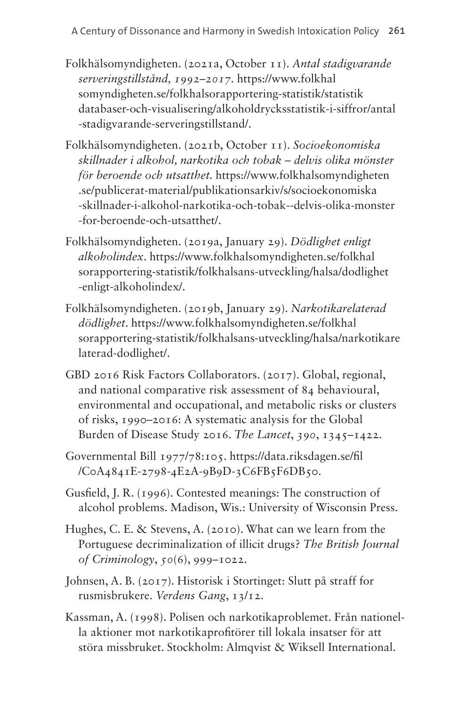- Folkhälsomyndigheten. (2021a, October 11). *Antal stadigvarande serveringstillstånd, 1992–2017.* [https://www.folkhal](https://www.folkhalsomyndigheten.se/folkhalsorapportering-statistik/statistikdatabaser-och-visualisering/alkoholdrycksstatistik-i-siffror/antal-stadigvarande-serveringstillstand/) [somyndigheten.se/folkhalsorapportering-statistik/statistik](https://www.folkhalsomyndigheten.se/folkhalsorapportering-statistik/statistikdatabaser-och-visualisering/alkoholdrycksstatistik-i-siffror/antal-stadigvarande-serveringstillstand/) [databaser-och-visualisering/alkoholdrycksstatistik-i-siffror/antal](https://www.folkhalsomyndigheten.se/folkhalsorapportering-statistik/statistikdatabaser-och-visualisering/alkoholdrycksstatistik-i-siffror/antal-stadigvarande-serveringstillstand/) [-stadigvarande-serveringstillstand/](https://www.folkhalsomyndigheten.se/folkhalsorapportering-statistik/statistikdatabaser-och-visualisering/alkoholdrycksstatistik-i-siffror/antal-stadigvarande-serveringstillstand/).
- Folkhälsomyndigheten. (2021b, October 11). *Socioekonomiska skillnader i alkohol, narkotika och tobak – delvis olika mönster för beroende och utsatthet.* [https://www.folkhalsomyndigheten](https://www.folkhalsomyndigheten.se/publicerat-material/publikationsarkiv/s/socioekonomiska-skillnader-i-alkohol-narkotika-och-tobak--delvis-olika-monster-for-beroende-och-utsatthet/) [.se/publicerat-material/publikationsarkiv/s/socioekonomiska](https://www.folkhalsomyndigheten.se/publicerat-material/publikationsarkiv/s/socioekonomiska-skillnader-i-alkohol-narkotika-och-tobak--delvis-olika-monster-for-beroende-och-utsatthet/) [-skillnader-i-alkohol-narkotika-och-tobak--delvis-olika-monster](https://www.folkhalsomyndigheten.se/publicerat-material/publikationsarkiv/s/socioekonomiska-skillnader-i-alkohol-narkotika-och-tobak--delvis-olika-monster-for-beroende-och-utsatthet/) [-for-beroende-och-utsatthet/](https://www.folkhalsomyndigheten.se/publicerat-material/publikationsarkiv/s/socioekonomiska-skillnader-i-alkohol-narkotika-och-tobak--delvis-olika-monster-for-beroende-och-utsatthet/).
- Folkhälsomyndigheten. (2019a, January 29). *Dödlighet enligt alkoholindex*. [https://www.folkhalsomyndigheten.se/folkhal](https://www.folkhalsomyndigheten.se/folkhalsorapportering-statistik/folkhalsans-utveckling/halsa/dodlighet-enligt-alkoholindex/) [sorapportering-statistik/folkhalsans-utveckling/halsa/dodlighet](https://www.folkhalsomyndigheten.se/folkhalsorapportering-statistik/folkhalsans-utveckling/halsa/dodlighet-enligt-alkoholindex/) [-enligt-alkoholindex/](https://www.folkhalsomyndigheten.se/folkhalsorapportering-statistik/folkhalsans-utveckling/halsa/dodlighet-enligt-alkoholindex/).
- Folkhälsomyndigheten. (2019b, January 29). *Narkotikarelaterad dödlighet*. [https://www.folkhalsomyndigheten.se/folkhal](https://www.folkhalsomyndigheten.se/folkhalsorapportering-statistik/folkhalsans-utveckling/halsa/narkotikarelaterad-dodlighet/) [sorapportering-statistik/folkhalsans-utveckling/halsa/narkotikare](https://www.folkhalsomyndigheten.se/folkhalsorapportering-statistik/folkhalsans-utveckling/halsa/narkotikarelaterad-dodlighet/) [laterad-dodlighet/.](https://www.folkhalsomyndigheten.se/folkhalsorapportering-statistik/folkhalsans-utveckling/halsa/narkotikarelaterad-dodlighet/)
- GBD 2016 Risk Factors Collaborators. (2017). Global, regional, and national comparative risk assessment of 84 behavioural, environmental and occupational, and metabolic risks or clusters of risks, 1990–2016: A systematic analysis for the Global Burden of Disease Study 2016. *The Lancet*, *390*, 1345–1422.
- Governmental Bill 1977/78:105. [https://data.riksdagen.se/fil](https://data.riksdagen.se/fil/C0A4841E-2798-4E2A-9B9D-3C6FB5F6DB50) [/C0A4841E-2798-4E2A-9B9D-3C6FB5F6DB50.](https://data.riksdagen.se/fil/C0A4841E-2798-4E2A-9B9D-3C6FB5F6DB50)
- Gusfield, J. R. (1996). Contested meanings: The construction of alcohol problems. Madison, Wis.: University of Wisconsin Press.
- Hughes, C. E. & Stevens, A. (2010). What can we learn from the Portuguese decriminalization of illicit drugs? *The British Journal of Criminology*, *50*(6), 999–1022.
- Johnsen, A. B. (2017). Historisk i Stortinget: Slutt på straff for rusmisbrukere. *Verdens Gang*, 13/12.
- Kassman, A. (1998). Polisen och narkotikaproblemet. Från nationella aktioner mot narkotikaprofitörer till lokala insatser för att störa missbruket. Stockholm: Almqvist & Wiksell International.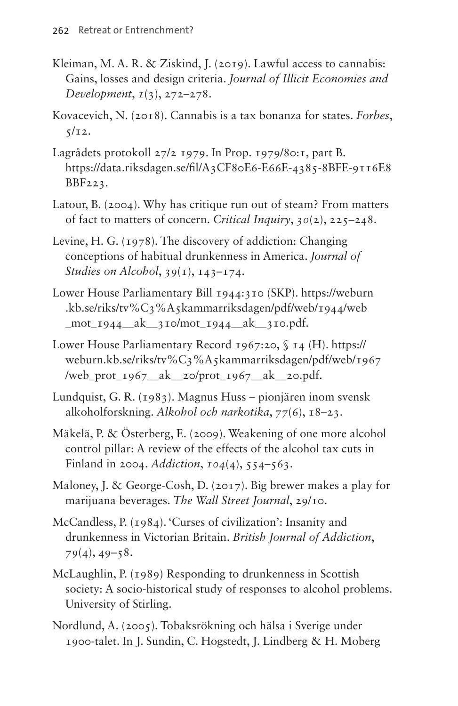- Kleiman, M. A. R. & Ziskind, J. (2019). Lawful access to cannabis: Gains, losses and design criteria. *Journal of Illicit Economies and Development*, *1*(3), 272–278.
- Kovacevich, N. (2018). Cannabis is a tax bonanza for states. *Forbes*,  $5/12$ .
- Lagrådets protokoll 27/2 1979. In Prop. 1979/80:1, part B. [https://data.riksdagen.se/fil/A3CF80E6-E66E-4385-8BFE-9116E8](https://data.riksdagen.se/fil/A3CF80E6-E66E-4385-8BFE-9116E8BBF223) [BBF223](https://data.riksdagen.se/fil/A3CF80E6-E66E-4385-8BFE-9116E8BBF223).
- Latour, B. (2004). Why has critique run out of steam? From matters of fact to matters of concern. *Critical Inquiry*, *30*(2), 225–248.
- Levine, H. G. (1978). The discovery of addiction: Changing conceptions of habitual drunkenness in America. *Journal of Studies on Alcohol*, *39*(1), 143–174.
- Lower House Parliamentary Bill 1944:310 (SKP). [https://weburn](https://weburn.kb.se/riks/tv%C3%A5kammarriksdagen/pdf/web/1944/web_mot_1944__ak__310/mot_1944__ak__310.pdf) [.kb.se/riks/tv%C3%A5kammarriksdagen/pdf/web/1944/web](https://weburn.kb.se/riks/tv%C3%A5kammarriksdagen/pdf/web/1944/web_mot_1944__ak__310/mot_1944__ak__310.pdf) mot  $1944$  ak  $310/mol$   $1944$  ak  $310.pdf$ .
- Lower House Parliamentary Record 1967:20, § 14 (H). [https://](https://weburn.kb.se/riks/tv%C3%A5kammarriksdagen/pdf/web/1967/web_prot_1967__ak__20/prot_1967__ak__20.pdf) [weburn.kb.se/riks/tv%C3%A5kammarriksdagen/pdf/web/1967](https://weburn.kb.se/riks/tv%C3%A5kammarriksdagen/pdf/web/1967/web_prot_1967__ak__20/prot_1967__ak__20.pdf) [/web\\_prot\\_1967\\_\\_ak\\_\\_20/prot\\_1967\\_\\_ak\\_\\_20.pdf.](https://weburn.kb.se/riks/tv%C3%A5kammarriksdagen/pdf/web/1967/web_prot_1967__ak__20/prot_1967__ak__20.pdf)
- Lundquist, G. R. (1983). Magnus Huss pionjären inom svensk alkoholforskning. *Alkohol och narkotika*, *77*(6), 18–23.
- Mäkelä, P. & Österberg, E. (2009). Weakening of one more alcohol control pillar: A review of the effects of the alcohol tax cuts in Finland in 2004. *Addiction*, *104*(4), 554–563.
- Maloney, J. & George-Cosh, D. (2017). Big brewer makes a play for marijuana beverages. *The Wall Street Journal*, 29/10.
- McCandless, P. (1984). 'Curses of civilization': Insanity and drunkenness in Victorian Britain. *British Journal of Addiction*, *79*(4), 49–58.
- McLaughlin, P. (1989) Responding to drunkenness in Scottish society: A socio-historical study of responses to alcohol problems. University of Stirling.
- Nordlund, A. (2005). Tobaksrökning och hälsa i Sverige under 1900-talet. In J. Sundin, C. Hogstedt, J. Lindberg & H. Moberg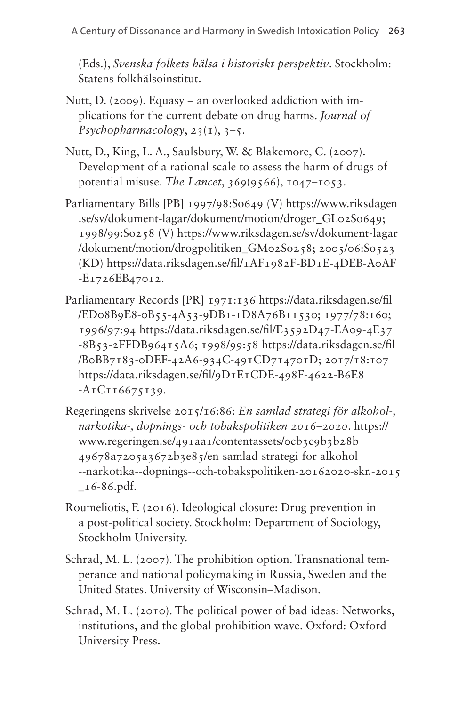(Eds.), *Svenska folkets hälsa i historiskt perspektiv*. Stockholm: Statens folkhälsoinstitut.

- Nutt, D. (2009). Equasy an overlooked addiction with implications for the current debate on drug harms. *Journal of Psychopharmacology*, *23*(1), 3–5.
- Nutt, D., King, L. A., Saulsbury, W. & Blakemore, C. (2007). Development of a rational scale to assess the harm of drugs of potential misuse. *The Lancet*, *369*(9566), 1047–1053.
- Parliamentary Bills [PB] 1997/98:So649 (V) [https://www.riksdagen](https://www.riksdagen.se/sv/dokument-lagar/dokument/motion/droger_GL02So649) [.se/sv/dokument-lagar/dokument/motion/droger\\_GL02So649](https://www.riksdagen.se/sv/dokument-lagar/dokument/motion/droger_GL02So649); 1998/99:So258 (V) [https://www.riksdagen.se/sv/dokument-lagar](https://www.riksdagen.se/sv/dokument-lagar/dokument/motion/drogpolitiken_GM02So258) [/dokument/motion/drogpolitiken\\_GM02So258;](https://www.riksdagen.se/sv/dokument-lagar/dokument/motion/drogpolitiken_GM02So258) 2005/06:So523 (KD) [https://data.riksdagen.se/fil/1AF1982F-BD1E-4DEB-A0AF](https://data.riksdagen.se/fil/1AF1982F-BD1E-4DEB-A0AF-E1726EB47012) [-E1726EB47012.](https://data.riksdagen.se/fil/1AF1982F-BD1E-4DEB-A0AF-E1726EB47012)
- Parliamentary Records [PR] 1971:136 [https://data.riksdagen.se/fil](https://data.riksdagen.se/fil/ED08B9E8-0B55-4A53-9DB1-1D8A76B11530) [/ED08B9E8-0B55-4A53-9DB1-1D8A76B11530](https://data.riksdagen.se/fil/ED08B9E8-0B55-4A53-9DB1-1D8A76B11530); 1977/78:160; 1996/97:94 [https://data.riksdagen.se/fil/E3592D47-EA09-4E37](https://data.riksdagen.se/fil/E3592D47-EA09-4E37-8B53-2FFDB96415A6) [-8B53-2FFDB96415A6;](https://data.riksdagen.se/fil/E3592D47-EA09-4E37-8B53-2FFDB96415A6) 1998/99:58 [https://data.riksdagen.se/fil](https://data.riksdagen.se/fil/B0BB7183-0DEF-42A6-934C-491CD714701D) [/B0BB7183-0DEF-42A6-934C-491CD714701D;](https://data.riksdagen.se/fil/B0BB7183-0DEF-42A6-934C-491CD714701D) 2017/18:107 [https://data.riksdagen.se/fil/9D1E1CDE-498F-4622-B6E8](https://data.riksdagen.se/fil/9D1E1CDE-498F-4622-B6E8-A1C116675139//) [-A1C116675139](https://data.riksdagen.se/fil/9D1E1CDE-498F-4622-B6E8-A1C116675139//).
- Regeringens skrivelse 2015/16:86: *En samlad strategi för alkohol-, narkotika-, dopnings- och tobakspolitiken 2016–2020*. [https://](https://www.regeringen.se/491aa1/contentassets/0cb3c9b3b28b49678a7205a3672b3e85/en-samlad-strategi-for-alkohol--narkotika--dopnings--och-tobakspolitiken-20162020-skr.-2015_16-86.pdf) [www.regeringen.se/491aa1/contentassets/0cb3c9b3b28b](https://www.regeringen.se/491aa1/contentassets/0cb3c9b3b28b49678a7205a3672b3e85/en-samlad-strategi-for-alkohol--narkotika--dopnings--och-tobakspolitiken-20162020-skr.-2015_16-86.pdf) [49678a7205a3672b3e85/en-samlad-strategi-for-alkohol](https://www.regeringen.se/491aa1/contentassets/0cb3c9b3b28b49678a7205a3672b3e85/en-samlad-strategi-for-alkohol--narkotika--dopnings--och-tobakspolitiken-20162020-skr.-2015_16-86.pdf) [--narkotika--dopnings--och-tobakspolitiken-20162020-skr.-2015](https://www.regeringen.se/491aa1/contentassets/0cb3c9b3b28b49678a7205a3672b3e85/en-samlad-strategi-for-alkohol--narkotika--dopnings--och-tobakspolitiken-20162020-skr.-2015_16-86.pdf)  $_16-86.$ pdf.
- Roumeliotis, F. (2016). Ideological closure: Drug prevention in a post-political society. Stockholm: Department of Sociology, Stockholm University.
- Schrad, M. L. (2007). The prohibition option. Transnational temperance and national policymaking in Russia, Sweden and the United States. University of Wisconsin–Madison.
- Schrad, M. L. (2010). The political power of bad ideas: Networks, institutions, and the global prohibition wave. Oxford: Oxford University Press.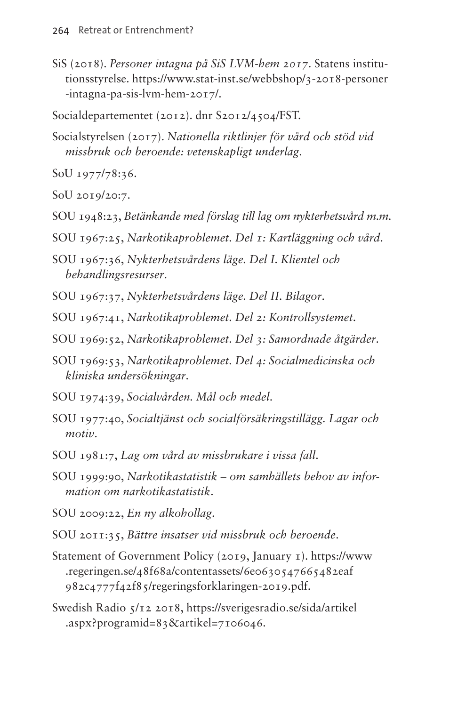SiS (2018). *Personer intagna på SiS LVM-hem 2017.* Statens institutionsstyrelse. [https://www.stat-inst.se/webbshop/3-2018-personer](https://www.stat-inst.se/webbshop/3-2018-personer-intagna-pa-sis-lvm-hem-2017/) [-intagna-pa-sis-lvm-hem-2017/](https://www.stat-inst.se/webbshop/3-2018-personer-intagna-pa-sis-lvm-hem-2017/).

Socialdepartementet (2012). dnr S2012/4504/FST.

Socialstyrelsen (2017). *Nationella riktlinjer för vård och stöd vid missbruk och beroende: vetenskapligt underlag*.

SoU 1977/78:36.

SoU 2019/20:7.

- SOU 1948:23, *Betänkande med förslag till lag om nykterhetsvård m.m.*
- SOU 1967:25, *Narkotikaproblemet. Del 1: Kartläggning och vård*.
- SOU 1967:36, *Nykterhetsvårdens läge. Del I. Klientel och behandlingsresurser*.
- SOU 1967:37, *Nykterhetsvårdens läge. Del II. Bilagor*.
- SOU 1967:41, *Narkotikaproblemet. Del 2: Kontrollsystemet*.
- SOU 1969:52, *Narkotikaproblemet. Del 3: Samordnade åtgärder*.
- SOU 1969:53, *Narkotikaproblemet. Del 4: Socialmedicinska och kliniska undersökningar*.
- SOU 1974:39, *Socialvården. Mål och medel*.
- SOU 1977:40, *Socialtjänst och socialförsäkringstillägg. Lagar och motiv*.
- SOU 1981:7, *Lag om vård av missbrukare i vissa fall*.
- SOU 1999:90, *Narkotikastatistik om samhällets behov av information om narkotikastatistik*.

SOU 2009:22, *En ny alkohollag*.

- SOU 2011:35, *Bättre insatser vid missbruk och beroende*.
- Statement of Government Policy (2019, January 1). [https://www](https://www.regeringen.se/48f68a/contentassets/6e0630547665482eaf982c4777f42f85/regeringsforklaringen-2019.pdf) [.regeringen.se/48f68a/contentassets/6e0630547665482eaf](https://www.regeringen.se/48f68a/contentassets/6e0630547665482eaf982c4777f42f85/regeringsforklaringen-2019.pdf) [982c4777f42f85/regeringsforklaringen-2019.pdf.](https://www.regeringen.se/48f68a/contentassets/6e0630547665482eaf982c4777f42f85/regeringsforklaringen-2019.pdf)
- Swedish Radio 5/12 2018, [https://sverigesradio.se/sida/artikel](https://sverigesradio.se/sida/artikel.aspx?programid=83&artikel=7106046) [.aspx?programid=83&artikel=7106046.](https://sverigesradio.se/sida/artikel.aspx?programid=83&artikel=7106046)